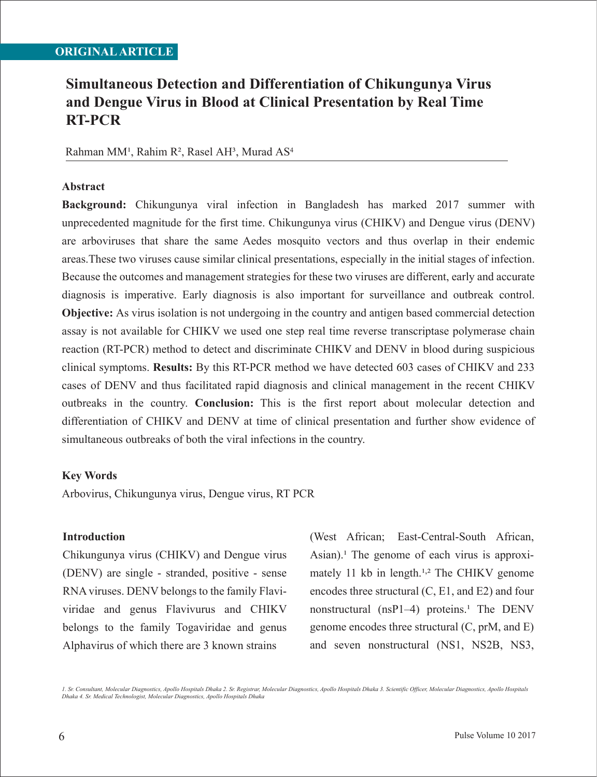### **ORIGINAL ARTICLE**

# **Simultaneous Detection and Differentiation of Chikungunya Virus and Dengue Virus in Blood at Clinical Presentation by Real Time RT-PCR**

### Rahman MM<sup>1</sup>, Rahim R<sup>2</sup>, Rasel AH<sup>3</sup>, Murad AS<sup>4</sup>

#### **Abstract**

**Background:** Chikungunya viral infection in Bangladesh has marked 2017 summer with unprecedented magnitude for the first time. Chikungunya virus (CHIKV) and Dengue virus (DENV) are arboviruses that share the same Aedes mosquito vectors and thus overlap in their endemic areas.These two viruses cause similar clinical presentations, especially in the initial stages of infection. Because the outcomes and management strategies for these two viruses are different, early and accurate diagnosis is imperative. Early diagnosis is also important for surveillance and outbreak control. **Objective:** As virus isolation is not undergoing in the country and antigen based commercial detection assay is not available for CHIKV we used one step real time reverse transcriptase polymerase chain reaction (RT-PCR) method to detect and discriminate CHIKV and DENV in blood during suspicious clinical symptoms. **Results:** By this RT-PCR method we have detected 603 cases of CHIKV and 233 cases of DENV and thus facilitated rapid diagnosis and clinical management in the recent CHIKV outbreaks in the country. **Conclusion:** This is the first report about molecular detection and differentiation of CHIKV and DENV at time of clinical presentation and further show evidence of simultaneous outbreaks of both the viral infections in the country.

#### **Key Words**

Arbovirus, Chikungunya virus, Dengue virus, RT PCR

#### **Introduction**

Chikungunya virus (CHIKV) and Dengue virus (DENV) are single - stranded, positive - sense RNA viruses. DENV belongs to the family Flaviviridae and genus Flavivurus and CHIKV belongs to the family Togaviridae and genus Alphavirus of which there are 3 known strains

(West African; East-Central-South African, Asian).<sup>1</sup> The genome of each virus is approximately 11 kb in length.<sup>1,2</sup> The CHIKV genome encodes three structural (C, E1, and E2) and four nonstructural (nsP1–4) proteins.<sup>1</sup> The DENV genome encodes three structural (C, prM, and E) and seven nonstructural (NS1, NS2B, NS3,

*1. Sr. Consultant, Molecular Diagnostics, Apollo Hospitals Dhaka 2. Sr. Registrar, Molecular Diagnostics, Apollo Hospitals Dhaka 3. Scientific Officer, Molecular Diagnostics, Apollo Hospitals Dhaka 4. Sr. Medical Technologist, Molecular Diagnostics, Apollo Hospitals Dhaka*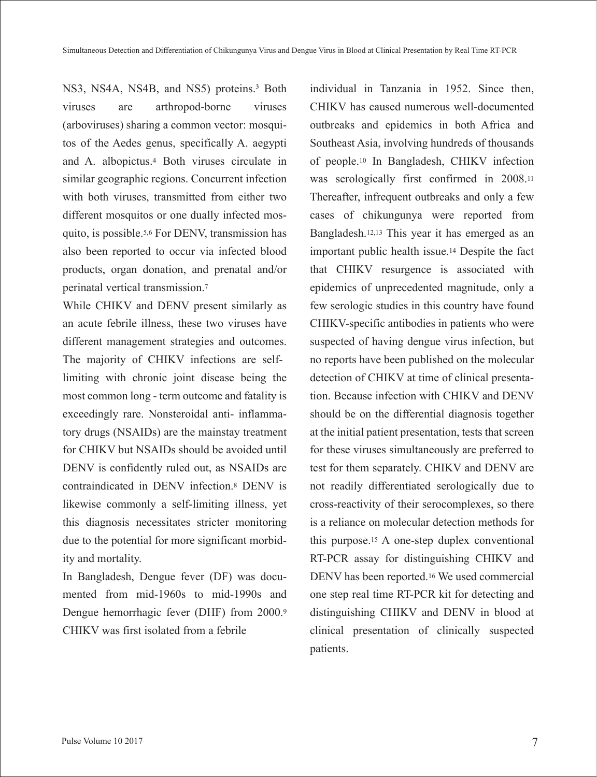NS3, NS4A, NS4B, and NS5) proteins.<sup>3</sup> Both viruses are arthropod-borne viruses (arboviruses) sharing a common vector: mosquitos of the Aedes genus, specifically A. aegypti and A. albopictus.4 Both viruses circulate in similar geographic regions. Concurrent infection with both viruses, transmitted from either two different mosquitos or one dually infected mosquito, is possible.5,6 For DENV, transmission has also been reported to occur via infected blood products, organ donation, and prenatal and/or perinatal vertical transmission.7

While CHIKV and DENV present similarly as an acute febrile illness, these two viruses have different management strategies and outcomes. The majority of CHIKV infections are selflimiting with chronic joint disease being the most common long - term outcome and fatality is exceedingly rare. Nonsteroidal anti- inflammatory drugs (NSAIDs) are the mainstay treatment for CHIKV but NSAIDs should be avoided until DENV is confidently ruled out, as NSAIDs are contraindicated in DENV infection.8 DENV is likewise commonly a self-limiting illness, yet this diagnosis necessitates stricter monitoring due to the potential for more significant morbidity and mortality.

In Bangladesh, Dengue fever (DF) was documented from mid-1960s to mid-1990s and Dengue hemorrhagic fever (DHF) from 2000.9 CHIKV was first isolated from a febrile

individual in Tanzania in 1952. Since then, CHIKV has caused numerous well-documented outbreaks and epidemics in both Africa and Southeast Asia, involving hundreds of thousands of people.10 In Bangladesh, CHIKV infection was serologically first confirmed in 2008.11 Thereafter, infrequent outbreaks and only a few cases of chikungunya were reported from Bangladesh.12,13 This year it has emerged as an important public health issue.14 Despite the fact that CHIKV resurgence is associated with epidemics of unprecedented magnitude, only a few serologic studies in this country have found CHIKV-specific antibodies in patients who were suspected of having dengue virus infection, but no reports have been published on the molecular detection of CHIKV at time of clinical presentation. Because infection with CHIKV and DENV should be on the differential diagnosis together at the initial patient presentation, tests that screen for these viruses simultaneously are preferred to test for them separately. CHIKV and DENV are not readily differentiated serologically due to cross-reactivity of their serocomplexes, so there is a reliance on molecular detection methods for this purpose.15 A one-step duplex conventional RT-PCR assay for distinguishing CHIKV and DENV has been reported.16 We used commercial one step real time RT-PCR kit for detecting and distinguishing CHIKV and DENV in blood at clinical presentation of clinically suspected patients.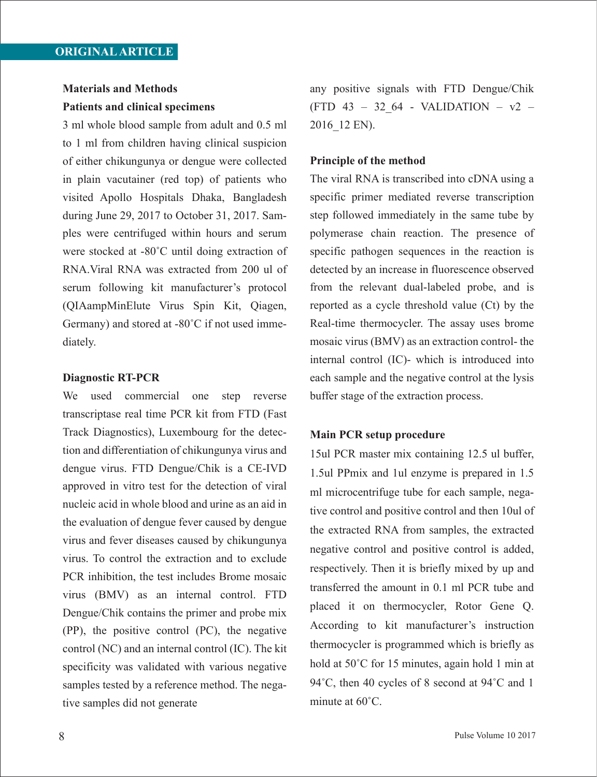## **Materials and Methods Patients and clinical specimens**

3 ml whole blood sample from adult and 0.5 ml to 1 ml from children having clinical suspicion of either chikungunya or dengue were collected in plain vacutainer (red top) of patients who visited Apollo Hospitals Dhaka, Bangladesh during June 29, 2017 to October 31, 2017. Samples were centrifuged within hours and serum were stocked at -80˚C until doing extraction of RNA.Viral RNA was extracted from 200 ul of serum following kit manufacturer's protocol (QIAampMinElute Virus Spin Kit, Qiagen, Germany) and stored at -80˚C if not used immediately.

#### **Diagnostic RT-PCR**

We used commercial one step reverse transcriptase real time PCR kit from FTD (Fast Track Diagnostics), Luxembourg for the detection and differentiation of chikungunya virus and dengue virus. FTD Dengue/Chik is a CE-IVD approved in vitro test for the detection of viral nucleic acid in whole blood and urine as an aid in the evaluation of dengue fever caused by dengue virus and fever diseases caused by chikungunya virus. To control the extraction and to exclude PCR inhibition, the test includes Brome mosaic virus (BMV) as an internal control. FTD Dengue/Chik contains the primer and probe mix (PP), the positive control (PC), the negative control (NC) and an internal control (IC). The kit specificity was validated with various negative samples tested by a reference method. The negative samples did not generate

any positive signals with FTD Dengue/Chik  $(FTD 43 - 32 64 - VALIDATION - v2 -$ 2016\_12 EN).

### **Principle of the method**

The viral RNA is transcribed into cDNA using a specific primer mediated reverse transcription step followed immediately in the same tube by polymerase chain reaction. The presence of specific pathogen sequences in the reaction is detected by an increase in fluorescence observed from the relevant dual-labeled probe, and is reported as a cycle threshold value (Ct) by the Real-time thermocycler. The assay uses brome mosaic virus (BMV) as an extraction control- the internal control (IC)- which is introduced into each sample and the negative control at the lysis buffer stage of the extraction process.

#### **Main PCR setup procedure**

15ul PCR master mix containing 12.5 ul buffer, 1.5ul PPmix and 1ul enzyme is prepared in 1.5 ml microcentrifuge tube for each sample, negative control and positive control and then 10ul of the extracted RNA from samples, the extracted negative control and positive control is added, respectively. Then it is briefly mixed by up and transferred the amount in 0.1 ml PCR tube and placed it on thermocycler, Rotor Gene Q. According to kit manufacturer's instruction thermocycler is programmed which is briefly as hold at 50˚C for 15 minutes, again hold 1 min at 94˚C, then 40 cycles of 8 second at 94˚C and 1 minute at 60˚C.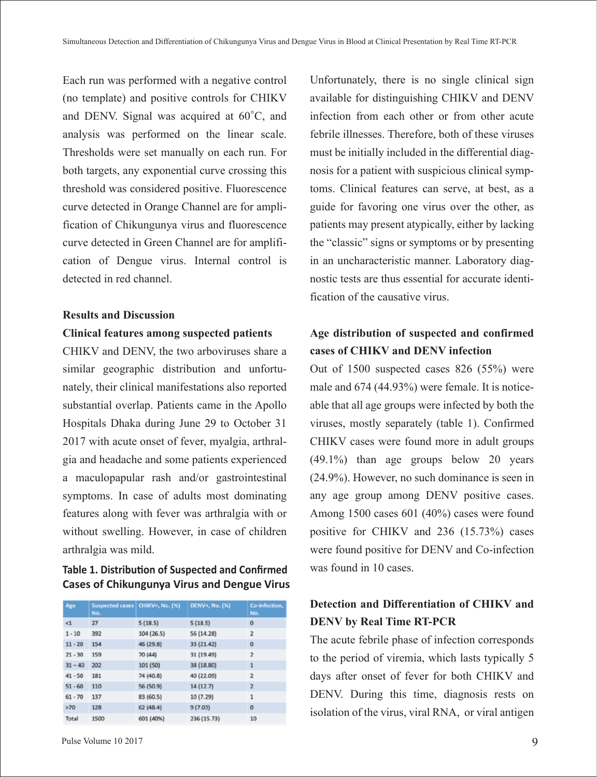Each run was performed with a negative control (no template) and positive controls for CHIKV and DENV. Signal was acquired at 60◦C, and analysis was performed on the linear scale. Thresholds were set manually on each run. For both targets, any exponential curve crossing this threshold was considered positive. Fluorescence curve detected in Orange Channel are for amplification of Chikungunya virus and fluorescence curve detected in Green Channel are for amplification of Dengue virus. Internal control is detected in red channel.

#### **Results and Discussion**

#### **Clinical features among suspected patients**

CHIKV and DENV, the two arboviruses share a similar geographic distribution and unfortunately, their clinical manifestations also reported substantial overlap. Patients came in the Apollo Hospitals Dhaka during June 29 to October 31 2017 with acute onset of fever, myalgia, arthralgia and headache and some patients experienced a maculopapular rash and/or gastrointestinal symptoms. In case of adults most dominating features along with fever was arthralgia with or without swelling. However, in case of children arthralgia was mild.

### **Table 1. Distribution of Suspected and Confirmed Cases of Chikungunya Virus and Dengue Virus**

| Age       | <b>Suspected cases</b><br>No. | CHIKV+, No. (%) | DENV+, No. (%) | Co-infection,<br>No.    |
|-----------|-------------------------------|-----------------|----------------|-------------------------|
| $\leq 1$  | 27                            | 5(18.5)         | 5(18.5)        | o                       |
| $1 - 10$  | 392                           | 104 (26.5)      | 56 (14.28)     | $\overline{\mathbf{2}}$ |
| $11 - 20$ | 154                           | 46 (29.8)       | 33 (21.42)     | $\circ$                 |
| $21 - 30$ | 159                           | 70 (44)         | 31 (19.49)     | $\overline{2}$          |
| $31 - 40$ | 202                           | 101 (50)        | 38 (18.80)     | 1                       |
| $41 - 50$ | 181                           | 74 (40.8)       | 40 (22.09)     | 2                       |
| $51 - 60$ | 110                           | 56 (50.9)       | 14 (12.7)      | $\overline{2}$          |
| $61 - 70$ | 137                           | 83 (60.5)       | 10 (7.29)      | 1                       |
| >70       | 128                           | 62(48.4)        | 9(7.03)        | $\circ$                 |
| Total     | 1500                          | 601 (40%)       | 236 (15.73)    | 10                      |

Unfortunately, there is no single clinical sign available for distinguishing CHIKV and DENV infection from each other or from other acute febrile illnesses. Therefore, both of these viruses must be initially included in the differential diagnosis for a patient with suspicious clinical symptoms. Clinical features can serve, at best, as a guide for favoring one virus over the other, as patients may present atypically, either by lacking the "classic" signs or symptoms or by presenting in an uncharacteristic manner. Laboratory diagnostic tests are thus essential for accurate identification of the causative virus.

## **Age distribution of suspected and confirmed cases of CHIKV and DENV infection**

Out of 1500 suspected cases 826 (55%) were male and 674 (44.93%) were female. It is noticeable that all age groups were infected by both the viruses, mostly separately (table 1). Confirmed CHIKV cases were found more in adult groups (49.1%) than age groups below 20 years (24.9%). However, no such dominance is seen in any age group among DENV positive cases. Among 1500 cases 601 (40%) cases were found positive for CHIKV and 236 (15.73%) cases were found positive for DENV and Co-infection was found in 10 cases.

## **Detection and Differentiation of CHIKV and DENV by Real Time RT-PCR**

The acute febrile phase of infection corresponds to the period of viremia, which lasts typically 5 days after onset of fever for both CHIKV and DENV. During this time, diagnosis rests on isolation of the virus, viral RNA, or viral antigen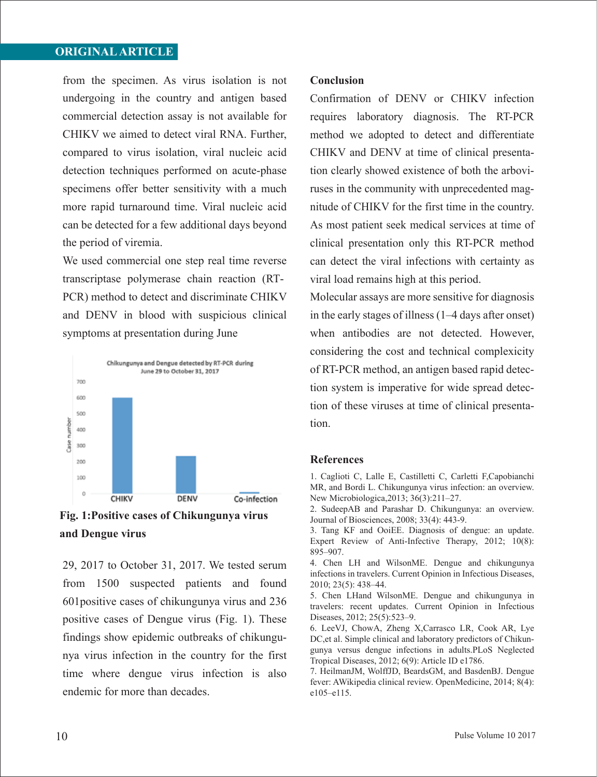## **ORIGINAL ARTICLE**

from the specimen. As virus isolation is not undergoing in the country and antigen based commercial detection assay is not available for CHIKV we aimed to detect viral RNA. Further, compared to virus isolation, viral nucleic acid detection techniques performed on acute-phase specimens offer better sensitivity with a much more rapid turnaround time. Viral nucleic acid can be detected for a few additional days beyond the period of viremia.

We used commercial one step real time reverse transcriptase polymerase chain reaction (RT-PCR) method to detect and discriminate CHIKV and DENV in blood with suspicious clinical symptoms at presentation during June



**Fig. 1:Positive cases of Chikungunya virus and Dengue virus**

29, 2017 to October 31, 2017. We tested serum from 1500 suspected patients and found 601positive cases of chikungunya virus and 236 positive cases of Dengue virus (Fig. 1). These findings show epidemic outbreaks of chikungunya virus infection in the country for the first time where dengue virus infection is also endemic for more than decades.

#### **Conclusion**

Confirmation of DENV or CHIKV infection requires laboratory diagnosis. The RT-PCR method we adopted to detect and differentiate CHIKV and DENV at time of clinical presentation clearly showed existence of both the arboviruses in the community with unprecedented magnitude of CHIKV for the first time in the country. As most patient seek medical services at time of clinical presentation only this RT-PCR method can detect the viral infections with certainty as viral load remains high at this period.

Molecular assays are more sensitive for diagnosis in the early stages of illness (1–4 days after onset) when antibodies are not detected. However, considering the cost and technical complexicity of RT-PCR method, an antigen based rapid detection system is imperative for wide spread detection of these viruses at time of clinical presentation.

#### **References**

1. Caglioti C, Lalle E, Castilletti C, Carletti F,Capobianchi MR, and Bordi L. Chikungunya virus infection: an overview. New Microbiologica,2013; 36(3):211–27.

2. SudeepAB and Parashar D. Chikungunya: an overview. Journal of Biosciences, 2008; 33(4): 443-9.

3. Tang KF and OoiEE. Diagnosis of dengue: an update. Expert Review of Anti-Infective Therapy, 2012; 10(8): 895–907.

4. Chen LH and WilsonME. Dengue and chikungunya infections in travelers. Current Opinion in Infectious Diseases, 2010; 23(5): 438–44.

5. Chen LHand WilsonME. Dengue and chikungunya in travelers: recent updates. Current Opinion in Infectious Diseases, 2012; 25(5):523–9.

6. LeeVJ, ChowA, Zheng X,Carrasco LR, Cook AR, Lye DC, et al. Simple clinical and laboratory predictors of Chikungunya versus dengue infections in adults.PLoS Neglected Tropical Diseases, 2012; 6(9): Article ID e1786.

7. HeilmanJM, WolffJD, BeardsGM, and BasdenBJ. Dengue fever: AWikipedia clinical review. OpenMedicine, 2014; 8(4): e105–e115.